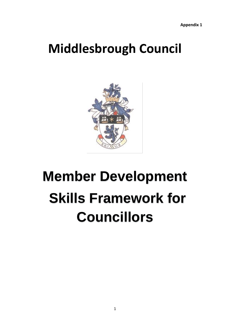## **Middlesbrough Council**



# **Member Development Skills Framework for Councillors**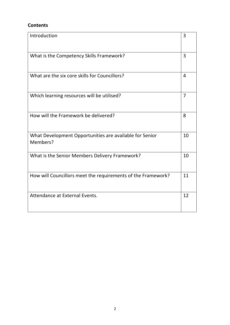### **Contents**

| Introduction                                                        | 3              |
|---------------------------------------------------------------------|----------------|
| What is the Competency Skills Framework?                            | 3              |
| What are the six core skills for Councillors?                       | $\overline{4}$ |
| Which learning resources will be utilised?                          | $\overline{7}$ |
| How will the Framework be delivered?                                | 8              |
| What Development Opportunities are available for Senior<br>Members? | 10             |
| What is the Senior Members Delivery Framework?                      | 10             |
| How will Councillors meet the requirements of the Framework?        | 11             |
| Attendance at External Events.                                      | 12             |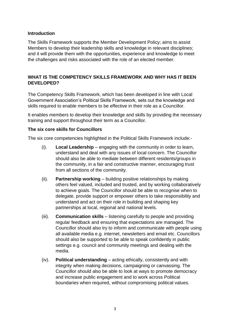#### **Introduction**

The Skills Framework supports the Member Development Policy; aims to assist Members to develop their leadership skills and knowledge in relevant disciplines; and it will provide them with the opportunities, experience and knowledge to meet the challenges and risks associated with the role of an elected member.

#### **WHAT IS THE COMPETENCY SKILLS FRAMEWORK AND WHY HAS IT BEEN DEVELOPED?**

The Competency Skills Framework, which has been developed in line with Local Government Association's Political Skills Framework, sets out the knowledge and skills required to enable members to be effective in their role as a Councillor.

It enables members to develop their knowledge and skills by providing the necessary training and support throughout their term as a Councillor.

#### **The six core skills for Councillors**

The six core competencies highlighted in the Political Skills Framework include:-

- (i). **Local Leadership** engaging with the community in order to learn, understand and deal with any issues of local concern. The Councillor should also be able to mediate between different residents/groups in the community, in a fair and constructive manner, encouraging trust from all sections of the community.
- (ii). **Partnership working** building positive relationships by making others feel valued, included and trusted, and by working collaboratively to achieve goals. The Councillor should be able to recognise when to delegate, provide support or empower others to take responsibility and understand and act on their role in building and shaping key partnerships at local, regional and national levels.
- (iii). **Communication skills** listening carefully to people and providing regular feedback and ensuring that expectations are managed. The Councillor should also try to inform and communicate with people using all available media e.g. internet, newsletters and email etc. Councillors should also be supported to be able to speak confidently in public settings e.g. council and community meetings and dealing with the media.
- (iv). **Political understanding** acting ethically, consistently and with integrity when making decisions, campaigning or canvassing. The Councillor should also be able to look at ways to promote democracy and increase public engagement and to work across Political boundaries when required, without compromising political values.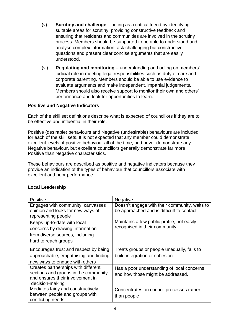- (v). **Scrutiny and challenge** acting as a critical friend by identifying suitable areas for scrutiny, providing constructive feedback and ensuring that residents and communities are involved in the scrutiny process. Members should be supported to be able to understand and analyse complex information, ask challenging but constructive questions and present clear concise arguments that are easily understood.
- (vi). **Regulating and monitoring** understanding and acting on members' judicial role in meeting legal responsibilities such as duty of care and corporate parenting. Members should be able to use evidence to evaluate arguments and make independent, impartial judgements. Members should also receive support to monitor their own and others' performance and look for opportunities to learn.

#### **Positive and Negative Indicators**

Each of the skill set definitions describe what is expected of councillors if they are to be effective and influential in their role.

Positive (desirable) behaviours and Negative (undesirable) behaviours are included for each of the skill sets. It is not expected that any member could demonstrate excellent levels of positive behaviour all of the time, and never demonstrate any Negative behaviour, but excellent councillors generally demonstrate far more Positive than Negative characteristics.

These behaviours are described as positive and negative indicators because they provide an indication of the types of behaviour that councillors associate with excellent and poor performance.

#### **Local Leadership**

| <b>Positive</b>                       | Negative                                      |
|---------------------------------------|-----------------------------------------------|
| Engages with community, canvasses     | Doesn't engage with their community, waits to |
| opinion and looks for new ways of     | be approached and is difficult to contact     |
| representing people                   |                                               |
| Keeps up-to-date with local           | Maintains a low public profile, not easily    |
| concerns by drawing information       | recognised in their community                 |
| from diverse sources, including       |                                               |
| hard to reach groups                  |                                               |
| Encourages trust and respect by being | Treats groups or people unequally, fails to   |
| approachable, empathising and finding | build integration or cohesion                 |
| new ways to engage with others        |                                               |
| Creates partnerships with different   | Has a poor understanding of local concerns    |
| sections and groups in the community  | and how those might be addressed.             |
| and ensures their involvement in      |                                               |
| decision-making                       |                                               |
| Mediates fairly and constructively    | Concentrates on council processes rather      |
| between people and groups with        | than people                                   |
| conflicting needs                     |                                               |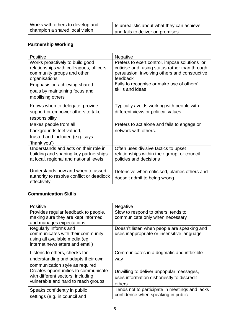| Works with others to develop and | Is unrealistic about what they can achieve |
|----------------------------------|--------------------------------------------|
| champion a shared local vision   | and fails to deliver on promises           |

 $\overline{\phantom{a}}$ 

## **Partnership Working**

| <b>Positive</b>                                                                                                            | <b>Negative</b>                                                                                                                                              |
|----------------------------------------------------------------------------------------------------------------------------|--------------------------------------------------------------------------------------------------------------------------------------------------------------|
| Works proactively to build good<br>relationships with colleagues, officers,<br>community groups and other<br>organisations | Prefers to exert control, impose solutions or<br>criticise and using status rather than through<br>persuasion, involving others and constructive<br>feedback |
| Emphasis on achieving shared<br>goals by maintaining focus and<br>mobilising others                                        | Fails to recognise or make use of others'<br>skills and ideas                                                                                                |
| Knows when to delegate, provide<br>support or empower others to take<br>responsibility                                     | Typically avoids working with people with<br>different views or political values                                                                             |
| Makes people from all<br>backgrounds feel valued,<br>trusted and included (e.g. says<br>'thank you')                       | Prefers to act alone and fails to engage or<br>network with others.                                                                                          |
| Understands and acts on their role in<br>building and shaping key partnerships<br>at local, regional and national levels   | Often uses divisive tactics to upset<br>relationships within their group, or council<br>policies and decisions                                               |
| Understands how and when to assert<br>authority to resolve conflict or deadlock<br>effectively                             | Defensive when criticised, blames others and<br>doesn't admit to being wrong                                                                                 |

## **Communication Skills**

| Positive                                                                                                                        | <b>Negative</b>                                                                                  |
|---------------------------------------------------------------------------------------------------------------------------------|--------------------------------------------------------------------------------------------------|
| Provides regular feedback to people,<br>making sure they are kept informed<br>and manages expectations                          | Slow to respond to others; tends to<br>communicate only when necessary                           |
| Regularly informs and<br>communicates with their community<br>using all available media (eg,<br>internet newsletters and email) | Doesn't listen when people are speaking and<br>uses inappropriate or insensitive language        |
| Listens to others, checks for<br>understanding and adapts their own<br>communication style as required                          | Communicates in a dogmatic and inflexible<br>way                                                 |
| Creates opportunities to communicate<br>with different sectors, including<br>vulnerable and hard to reach groups                | Unwilling to deliver unpopular messages,<br>uses information dishonestly to discredit<br>others. |
| Speaks confidently in public<br>settings (e.g. in council and                                                                   | Tends not to participate in meetings and lacks<br>confidence when speaking in public             |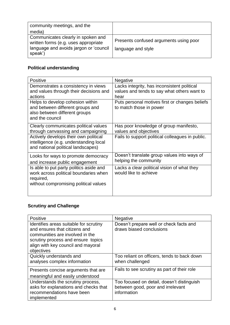| community meetings, and the                                                                                                     |                                                              |
|---------------------------------------------------------------------------------------------------------------------------------|--------------------------------------------------------------|
| media)                                                                                                                          |                                                              |
| Communicates clearly in spoken and<br>written forms (e.g. uses appropriate<br>language and avoids jargon or 'council<br>speak') | Presents confused arguments using poor<br>language and style |

## **Political understanding**

| <b>Positive</b>                                                                                                                        | Negative                                                                                           |
|----------------------------------------------------------------------------------------------------------------------------------------|----------------------------------------------------------------------------------------------------|
| Demonstrates a consistency in views<br>and values through their decisions and<br>actions                                               | Lacks integrity, has inconsistent political<br>values and tends to say what others want to<br>hear |
| Helps to develop cohesion within<br>and between different groups and<br>also between different groups<br>and the council               | Puts personal motives first or changes beliefs<br>to match those in power                          |
| Clearly communicates political values<br>through canvassing and campaigning                                                            | Has poor knowledge of group manifesto,<br>values and objectives                                    |
| Actively develops their own political<br>intelligence (e.g. understanding local<br>and national political landscapes)                  | Fails to support political colleagues in public.                                                   |
| Looks for ways to promote democracy<br>and increase public engagement                                                                  | Doesn't translate group values into ways of<br>helping the community                               |
| Is able to put party politics aside and<br>work across political boundaries when<br>required,<br>without compromising political values | Lacks a clear political vision of what they<br>would like to achieve                               |

## **Scrutiny and Challenge**

| <b>Positive</b>                                                                                                                                                                                      | <b>Negative</b>                                                                                |
|------------------------------------------------------------------------------------------------------------------------------------------------------------------------------------------------------|------------------------------------------------------------------------------------------------|
| Identifies areas suitable for scrutiny<br>and ensures that citizens and<br>communities are involved in the<br>scrutiny process and ensure topics<br>align with key council and mayoral<br>objectives | Doesn't prepare well or check facts and<br>draws biased conclusions                            |
| Quickly understands and<br>analyses complex information                                                                                                                                              | Too reliant on officers, tends to back down<br>when challenged                                 |
| Presents concise arguments that are<br>meaningful and easily understood                                                                                                                              | Fails to see scrutiny as part of their role                                                    |
| Understands the scrutiny process,<br>asks for explanations and checks that<br>recommendations have been<br>implemented                                                                               | Too focused on detail, doesn't distinguish<br>between good, poor and irrelevant<br>information |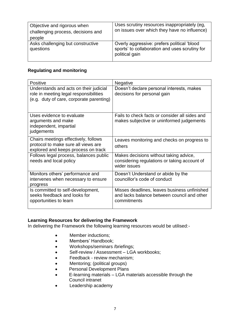| Objective and rigorous when<br>challenging process, decisions and<br>people | Uses scrutiny resources inappropriately (eg,<br>on issues over which they have no influence)                    |
|-----------------------------------------------------------------------------|-----------------------------------------------------------------------------------------------------------------|
| Asks challenging but constructive<br>questions                              | Overly aggressive: prefers political 'blood<br>sports' to collaboration and uses scrutiny for<br>political gain |

#### **Regulating and monitoring**

| <b>Positive</b>                                                                                                              | <b>Negative</b>                                                                                            |
|------------------------------------------------------------------------------------------------------------------------------|------------------------------------------------------------------------------------------------------------|
| Understands and acts on their judicial<br>role in meeting legal responsibilities<br>(e.g. duty of care, corporate parenting) | Doesn't declare personal interests, makes<br>decisions for personal gain                                   |
| Uses evidence to evaluate<br>arguments and make<br>independent, impartial<br>judgements                                      | Fails to check facts or consider all sides and<br>makes subjective or uninformed judgements                |
| Chairs meetings effectively, follows<br>protocol to make sure all views are<br>explored and keeps process on track           | Leaves monitoring and checks on progress to<br>others                                                      |
| Follows legal process, balances public<br>needs and local policy                                                             | Makes decisions without taking advice,<br>considering regulations or taking account of<br>wider issues     |
| Monitors others' performance and<br>intervenes when necessary to ensure<br>progress                                          | Doesn't Understand or abide by the<br>councillor's code of conduct                                         |
| Is committed to self-development,<br>seeks feedback and looks for<br>opportunities to learn                                  | Misses deadlines, leaves business unfinished<br>and lacks balance between council and other<br>commitments |

#### **Learning Resources for delivering the Framework**

In delivering the Framework the following learning resources would be utilised:-

- Member inductions:
- Members' Handbook;
- Workshops/seminars /briefings;
- Self-review / Assessment LGA workbooks;
- **•** Feedback review mechanism;
- Mentoring; (political groups)
- **•** Personal Development Plans
- E-learning materials LGA materials accessible through the Council intranet
- Leadership academy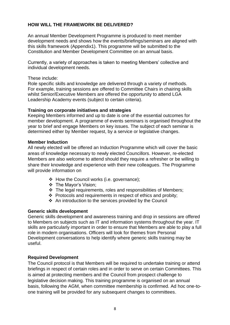#### **HOW WILL THE FRAMEWORK BE DELIVERED?**

An annual Member Development Programme is produced to meet member development needs and shows how the events/briefings/seminars are aligned with this skills framework (Appendix1). This programme will be submitted to the Constitution and Member Development Committee on an annual basis.

Currently, a variety of approaches is taken to meeting Members' collective and individual development needs.

#### These include:

Role specific skills and knowledge are delivered through a variety of methods. For example, training sessions are offered to Committee Chairs in chairing skills whilst Senior/Executive Members are offered the opportunity to attend LGA Leadership Academy events (subject to certain criteria).

#### **Training on corporate initiatives and strategies**

Keeping Members informed and up to date is one of the essential outcomes for member development. A programme of events seminars is organised throughout the year to brief and engage Members on key issues. The subject of each seminar is determined either by Member request, by a service or legislative changes.

#### **Member Induction**

All newly elected will be offered an Induction Programme which will cover the basic areas of knowledge necessary to newly elected Councillors. However, re-elected Members are also welcome to attend should they require a refresher or be willing to share their knowledge and experience with their new colleagues. The Programme will provide information on

- \* How the Council works (i.e. governance);
- The Mayor's Vision;
- $\div$  The legal requirements, roles and responsibilities of Members;
- $\div$  Protocols and requirements in respect of ethics and probity;
- An introduction to the services provided by the Council

#### **Generic skills development**

Generic skills development and awareness training and drop in sessions are offered to Members on subjects such as IT and information systems throughout the year. IT skills are particularly important in order to ensure that Members are able to play a full role in modern organisations. Officers will look for themes from Personal Development conversations to help identify where generic skills training may be useful.

#### **Required Development**

The Council protocol is that Members will be required to undertake training or attend briefings in respect of certain roles and in order to serve on certain Committees. This is aimed at protecting members and the Council from prospect challenge to legislative decision making. This training programme is organised on an annual basis, following the AGM, when committee membership is confirmed. Ad hoc one-toone training will be provided for any subsequent changes to committees.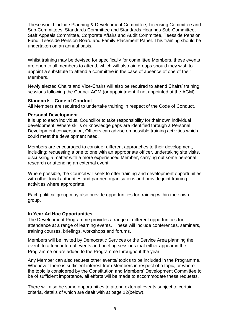These would include Planning & Development Committee, Licensing Committee and Sub-Committees, Standards Committee and Standards Hearings Sub-Committee, Staff Appeals Committee, Corporate Affairs and Audit Committee, Teesside Pension Fund, Teesside Pension Board and Family Placement Panel. This training should be undertaken on an annual basis.

Whilst training may be devised for specifically for committee Members, these events are open to all members to attend, which will also aid groups should they wish to appoint a substitute to attend a committee in the case of absence of one of their Members.

Newly elected Chairs and Vice-Chairs will also be required to attend Chairs' training sessions following the Council AGM (or appointment if not appointed at the AGM)

#### **Standards - Code of Conduct**

All Members are required to undertake training in respect of the Code of Conduct.

#### **Personal Development**

It is up to each individual Councillor to take responsibility for their own individual development. Where skills or knowledge gaps are identified through a Personal Development conversation, Officers can advise on possible training activities which could meet the development need.

Members are encouraged to consider different approaches to their development, including: requesting a one to one with an appropriate officer, undertaking site visits, discussing a matter with a more experienced Member, carrying out some personal research or attending an external event.

Where possible, the Council will seek to offer training and development opportunities with other local authorities and partner organisations and provide joint training activities where appropriate.

Each political group may also provide opportunities for training within their own group.

#### **In Year Ad Hoc Opportunities**

The Development Programme provides a range of different opportunities for attendance at a range of learning events. These will include conferences, seminars, training courses, briefings, workshops and forums.

Members will be invited by Democratic Services or the Service Area planning the event, to attend internal events and briefing sessions that either appear in the Programme or are added to the Programme throughout the year.

Any Member can also request other events/ topics to be included in the Programme. Whenever there is sufficient interest from Members in respect of a topic, or where the topic is considered by the Constitution and Members' Development Committee to be of sufficient importance, all efforts will be made to accommodate these requests.

There will also be some opportunities to attend external events subject to certain criteria, details of which are dealt with at page 12(below).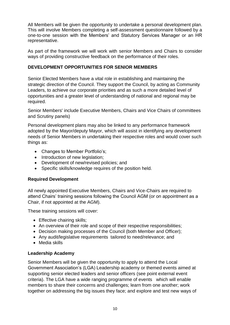All Members will be given the opportunity to undertake a personal development plan. This will involve Members completing a self-assessment questionnaire followed by a one-to-one session with the Members' and Statutory Services Manager or an HR representative.

As part of the framework we will work with senior Members and Chairs to consider ways of providing constructive feedback on the performance of their roles.

#### **DEVELOPMENT OPPORTUNITIES FOR SENIOR MEMBERS**

Senior Elected Members have a vital role in establishing and maintaining the strategic direction of the Council. They support the Council, by acting as Community Leaders, to achieve our corporate priorities and as such a more detailed level of opportunities and a greater level of understanding of national and regional may be required.

Senior Members' include Executive Members, Chairs and Vice Chairs of committees and Scrutiny panels)

Personal development plans may also be linked to any performance framework adopted by the Mayor/deputy Mayor, which will assist in identifying any development needs of Senior Members in undertaking their respective roles and would cover such things as:

- Changes to Member Portfolio's;
- Introduction of new legislation;
- Development of new/revised policies; and
- Specific skills/knowledge requires of the position held.

#### **Required Development**

All newly appointed Executive Members, Chairs and Vice-Chairs are required to attend Chairs' training sessions following the Council AGM (or on appointment as a Chair, if not appointed at the AGM).

These training sessions will cover:

- Effective chairing skills;
- An overview of their role and scope of their respective responsibilities;
- Decision making processes of the Council (both Member and Officer);
- Any audit/legislative requirements tailored to need/relevance; and
- Media skills

#### **Leadership Academy**

Senior Members will be given the opportunity to apply to attend the Local Government Association's (LGA) Leadership academy or themed events aimed at supporting senior elected leaders and senior officers (see point external event criteria). The LGA have a wide ranging programme of events which will enable members to share their concerns and challenges; learn from one another; work together on addressing the big issues they face; and explore and test new ways of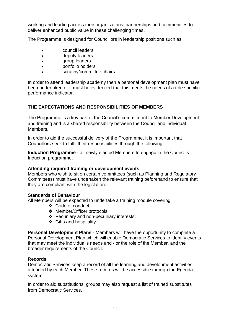working and leading across their organisations, partnerships and communities to deliver enhanced public value in these challenging times.

The Programme is designed for Councillors in leadership positions such as:

- council leaders
- deputy leaders
- group leaders
- portfolio holders
- scrutiny/committee chairs

In order to attend leadership academy then a personal development plan must have been undertaken or it must be evidenced that this meets the needs of a role specific performance indicator.

#### **THE EXPECTATIONS AND RESPONSIBILITIES OF MEMBERS**

The Programme is a key part of the Council's commitment to Member Development and training and is a shared responsibility between the Council and individual Members.

In order to aid the successful delivery of the Programme, it is important that Councillors seek to fulfil their responsibilities through the following:

**Induction Programme** - all newly elected Members to engage in the Council's Induction programme.

#### **Attending required training or development events**

Members who wish to sit on certain committees (such as Planning and Regulatory Committees) must have undertaken the relevant training beforehand to ensure that they are compliant with the legislation.

#### **Standards of Behaviour**

All Members will be expected to undertake a training module covering:

- Code of conduct;
- Member/Officer protocols;
- Pecuniary and non-pecuniary interests;
- ❖ Gifts and hospitality.

**Personal Development Plans** - Members will have the opportunity to complete a Personal Development Plan which will enable Democratic Services to identify events that may meet the individual's needs and / or the role of the Member, and the broader requirements of the Council.

#### **Records**

Democratic Services keep a record of all the learning and development activities attended by each Member. These records will be accessible through the Egenda system.

In order to aid substitutions, groups may also request a list of trained substitutes from Democratic Services.